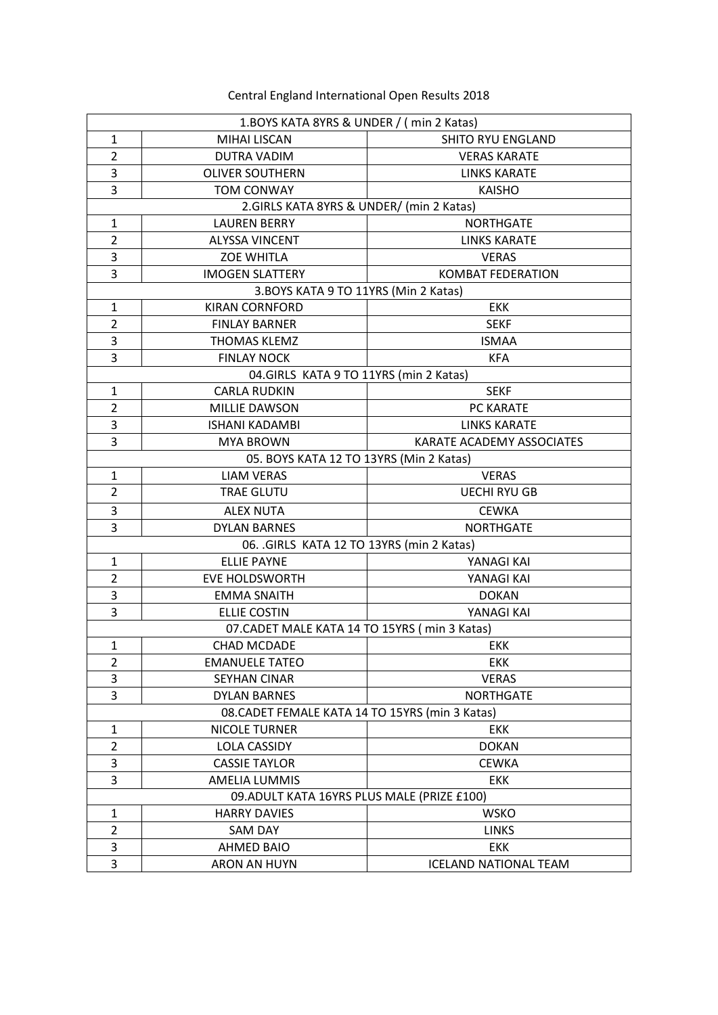Central England International Open Results 2018

| 1.BOYS KATA 8YRS & UNDER / (min 2 Katas)      |                                                 |                              |  |
|-----------------------------------------------|-------------------------------------------------|------------------------------|--|
| $\mathbf{1}$                                  | <b>MIHAI LISCAN</b>                             | <b>SHITO RYU ENGLAND</b>     |  |
| $\overline{2}$                                | <b>DUTRA VADIM</b>                              | <b>VERAS KARATE</b>          |  |
| 3                                             | <b>OLIVER SOUTHERN</b>                          | <b>LINKS KARATE</b>          |  |
| 3                                             | <b>TOM CONWAY</b>                               | <b>KAISHO</b>                |  |
|                                               | 2.GIRLS KATA 8YRS & UNDER/ (min 2 Katas)        |                              |  |
| $\mathbf{1}$                                  | <b>LAUREN BERRY</b>                             | <b>NORTHGATE</b>             |  |
| $\overline{2}$                                | <b>ALYSSA VINCENT</b>                           | <b>LINKS KARATE</b>          |  |
| 3                                             | <b>ZOE WHITLA</b>                               | <b>VERAS</b>                 |  |
| 3                                             | <b>IMOGEN SLATTERY</b>                          | <b>KOMBAT FEDERATION</b>     |  |
|                                               | 3.BOYS KATA 9 TO 11YRS (Min 2 Katas)            |                              |  |
| $\mathbf{1}$                                  | <b>KIRAN CORNFORD</b>                           | <b>EKK</b>                   |  |
| $\overline{2}$                                | <b>FINLAY BARNER</b>                            | <b>SEKF</b>                  |  |
| 3                                             | <b>THOMAS KLEMZ</b>                             | <b>ISMAA</b>                 |  |
| 3                                             | <b>FINLAY NOCK</b>                              | <b>KFA</b>                   |  |
|                                               | 04. GIRLS KATA 9 TO 11YRS (min 2 Katas)         |                              |  |
| $\mathbf{1}$                                  | <b>CARLA RUDKIN</b>                             | <b>SEKF</b>                  |  |
| $\overline{2}$                                | <b>MILLIE DAWSON</b>                            | PC KARATE                    |  |
| 3                                             | <b>ISHANI KADAMBI</b>                           | <b>LINKS KARATE</b>          |  |
| 3                                             | <b>MYA BROWN</b>                                | KARATE ACADEMY ASSOCIATES    |  |
|                                               | 05. BOYS KATA 12 TO 13YRS (Min 2 Katas)         |                              |  |
| $\mathbf{1}$                                  | <b>LIAM VERAS</b>                               | <b>VERAS</b>                 |  |
| $\overline{2}$                                | <b>TRAE GLUTU</b>                               | <b>UECHI RYU GB</b>          |  |
| 3                                             | <b>ALEX NUTA</b>                                | <b>CEWKA</b>                 |  |
| 3                                             | <b>DYLAN BARNES</b>                             | <b>NORTHGATE</b>             |  |
| 06. .GIRLS KATA 12 TO 13YRS (min 2 Katas)     |                                                 |                              |  |
| $\mathbf{1}$                                  | <b>ELLIE PAYNE</b>                              | YANAGI KAI                   |  |
| $\overline{2}$                                | <b>EVE HOLDSWORTH</b>                           | YANAGI KAI                   |  |
| 3                                             | <b>EMMA SNAITH</b>                              | <b>DOKAN</b>                 |  |
| 3                                             | <b>ELLIE COSTIN</b>                             | YANAGI KAI                   |  |
| 07. CADET MALE KATA 14 TO 15YRS (min 3 Katas) |                                                 |                              |  |
| $\mathbf{1}$                                  | <b>CHAD MCDADE</b>                              | <b>EKK</b>                   |  |
| 2                                             | <b>EMANUELE TATEO</b>                           | <b>EKK</b>                   |  |
| 3                                             | SEYHAN CINAR                                    | <b>VERAS</b>                 |  |
| 3                                             | <b>DYLAN BARNES</b>                             | <b>NORTHGATE</b>             |  |
|                                               | 08. CADET FEMALE KATA 14 TO 15YRS (min 3 Katas) |                              |  |
| 1                                             | <b>NICOLE TURNER</b>                            | <b>EKK</b>                   |  |
| $\overline{2}$                                | LOLA CASSIDY                                    | <b>DOKAN</b>                 |  |
| 3                                             | <b>CASSIE TAYLOR</b>                            | <b>CEWKA</b>                 |  |
| 3                                             | <b>AMELIA LUMMIS</b>                            | <b>EKK</b>                   |  |
|                                               | 09. ADULT KATA 16YRS PLUS MALE (PRIZE £100)     |                              |  |
| $\mathbf{1}$                                  | <b>HARRY DAVIES</b>                             | <b>WSKO</b>                  |  |
| $\overline{2}$                                | SAM DAY                                         | <b>LINKS</b>                 |  |
| 3                                             | AHMED BAIO                                      | <b>EKK</b>                   |  |
| 3                                             | ARON AN HUYN                                    | <b>ICELAND NATIONAL TEAM</b> |  |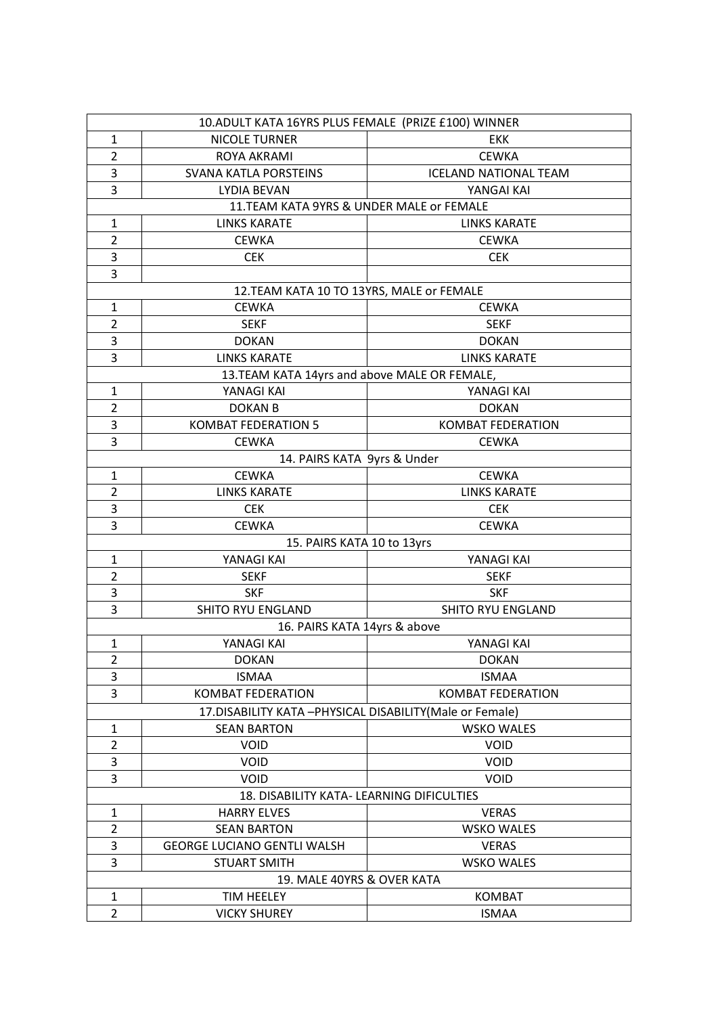| 10. ADULT KATA 16YRS PLUS FEMALE (PRIZE £100) WINNER       |                                               |                              |  |
|------------------------------------------------------------|-----------------------------------------------|------------------------------|--|
| $\mathbf{1}$                                               | <b>NICOLE TURNER</b>                          | <b>EKK</b>                   |  |
| $\overline{2}$                                             | ROYA AKRAMI                                   | <b>CEWKA</b>                 |  |
| 3                                                          | <b>SVANA KATLA PORSTEINS</b>                  | <b>ICELAND NATIONAL TEAM</b> |  |
| 3                                                          | <b>LYDIA BEVAN</b>                            | YANGAI KAI                   |  |
|                                                            | 11.TEAM KATA 9YRS & UNDER MALE or FEMALE      |                              |  |
| $\mathbf{1}$                                               | <b>LINKS KARATE</b>                           | <b>LINKS KARATE</b>          |  |
| $\overline{2}$                                             | <b>CEWKA</b>                                  | <b>CEWKA</b>                 |  |
| 3                                                          | <b>CEK</b>                                    | <b>CEK</b>                   |  |
| 3                                                          |                                               |                              |  |
|                                                            | 12.TEAM KATA 10 TO 13YRS, MALE or FEMALE      |                              |  |
| $\mathbf{1}$                                               | <b>CEWKA</b>                                  | <b>CEWKA</b>                 |  |
| $\overline{2}$                                             | <b>SEKF</b>                                   | <b>SEKF</b>                  |  |
| 3                                                          | <b>DOKAN</b>                                  | <b>DOKAN</b>                 |  |
| 3                                                          | <b>LINKS KARATE</b>                           | <b>LINKS KARATE</b>          |  |
|                                                            | 13. TEAM KATA 14yrs and above MALE OR FEMALE, |                              |  |
| $\mathbf{1}$                                               | YANAGI KAI                                    | YANAGI KAI                   |  |
| $\overline{2}$                                             | <b>DOKAN B</b>                                | <b>DOKAN</b>                 |  |
| 3                                                          | <b>KOMBAT FEDERATION 5</b>                    | <b>KOMBAT FEDERATION</b>     |  |
| 3                                                          | <b>CEWKA</b>                                  | <b>CEWKA</b>                 |  |
|                                                            | 14. PAIRS KATA 9yrs & Under                   |                              |  |
| $\mathbf{1}$                                               | <b>CEWKA</b>                                  | <b>CEWKA</b>                 |  |
| $\overline{2}$                                             | <b>LINKS KARATE</b>                           | <b>LINKS KARATE</b>          |  |
| 3                                                          | <b>CEK</b>                                    | <b>CEK</b>                   |  |
| 3                                                          | <b>CEWKA</b>                                  | <b>CEWKA</b>                 |  |
|                                                            | 15. PAIRS KATA 10 to 13yrs                    |                              |  |
| $\mathbf{1}$                                               | YANAGI KAI                                    | YANAGI KAI                   |  |
| $\overline{2}$                                             | <b>SEKF</b>                                   | <b>SEKF</b>                  |  |
| 3                                                          | <b>SKF</b>                                    | <b>SKF</b>                   |  |
| 3                                                          | SHITO RYU ENGLAND                             | SHITO RYU ENGLAND            |  |
|                                                            | 16. PAIRS KATA 14yrs & above                  |                              |  |
| $\mathbf{1}$                                               | YANAGI KAI                                    | YANAGI KAI                   |  |
| $\overline{2}$                                             | <b>DOKAN</b>                                  | <b>DOKAN</b>                 |  |
| 3                                                          | <b>ISMAA</b>                                  | <b>ISMAA</b>                 |  |
| $\overline{3}$                                             | <b>KOMBAT FEDERATION</b>                      | <b>KOMBAT FEDERATION</b>     |  |
| 17. DISABILITY KATA - PHYSICAL DISABILITY (Male or Female) |                                               |                              |  |
| $\mathbf{1}$                                               | <b>SEAN BARTON</b>                            | <b>WSKO WALES</b>            |  |
| $\overline{2}$                                             | <b>VOID</b>                                   | <b>VOID</b>                  |  |
| 3                                                          | VOID                                          | <b>VOID</b>                  |  |
| 3                                                          | <b>VOID</b>                                   | <b>VOID</b>                  |  |
|                                                            | 18. DISABILITY KATA- LEARNING DIFICULTIES     |                              |  |
| 1                                                          | <b>HARRY ELVES</b>                            | <b>VERAS</b>                 |  |
| $\overline{2}$                                             | <b>SEAN BARTON</b>                            | <b>WSKO WALES</b>            |  |
| 3                                                          | <b>GEORGE LUCIANO GENTLI WALSH</b>            | <b>VERAS</b>                 |  |
| 3                                                          | <b>STUART SMITH</b>                           | <b>WSKO WALES</b>            |  |
| 19. MALE 40YRS & OVER KATA                                 |                                               |                              |  |
| $\mathbf{1}$                                               | TIM HEELEY                                    | <b>KOMBAT</b>                |  |
| $\overline{2}$                                             | <b>VICKY SHUREY</b>                           | <b>ISMAA</b>                 |  |
|                                                            |                                               |                              |  |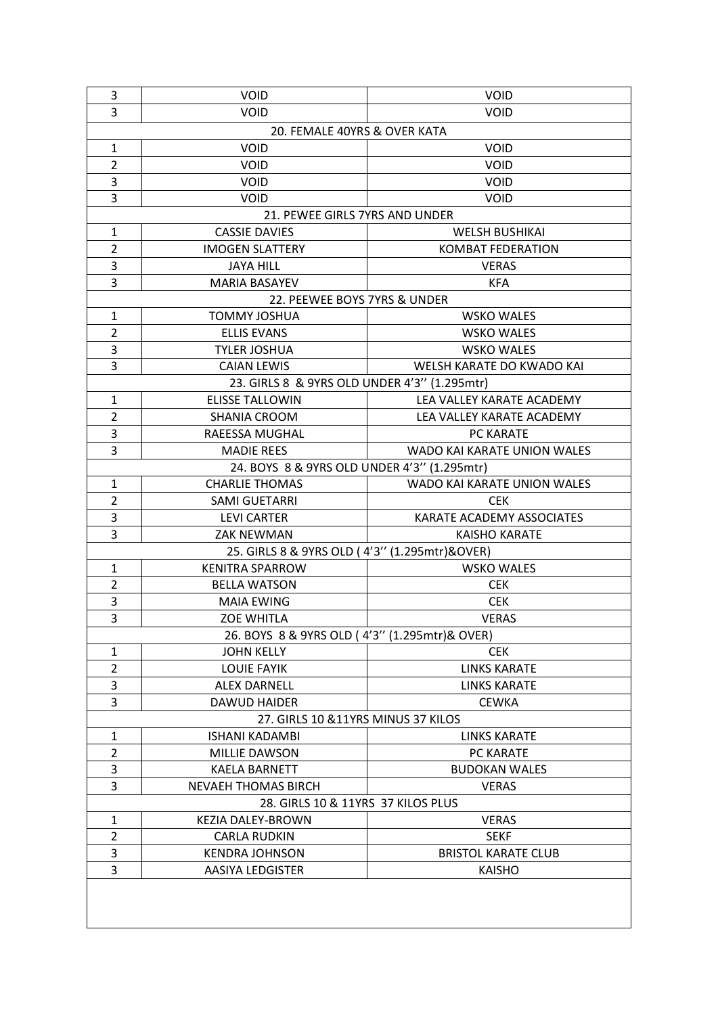| 3                                  | <b>VOID</b>                                   | <b>VOID</b>                 |  |
|------------------------------------|-----------------------------------------------|-----------------------------|--|
| 3                                  | VOID                                          | VOID                        |  |
| 20. FEMALE 40YRS & OVER KATA       |                                               |                             |  |
| $\mathbf{1}$                       | <b>VOID</b>                                   | <b>VOID</b>                 |  |
| $\overline{2}$                     | <b>VOID</b>                                   | <b>VOID</b>                 |  |
| 3                                  | <b>VOID</b>                                   | <b>VOID</b>                 |  |
| 3                                  | <b>VOID</b>                                   | <b>VOID</b>                 |  |
|                                    | 21. PEWEE GIRLS 7YRS AND UNDER                |                             |  |
| $\mathbf{1}$                       | <b>CASSIE DAVIES</b>                          | <b>WELSH BUSHIKAI</b>       |  |
| $\overline{2}$                     | <b>IMOGEN SLATTERY</b>                        | <b>KOMBAT FEDERATION</b>    |  |
| 3                                  | <b>JAYA HILL</b>                              | <b>VERAS</b>                |  |
| 3                                  | <b>MARIA BASAYEV</b>                          | <b>KFA</b>                  |  |
|                                    | 22. PEEWEE BOYS 7YRS & UNDER                  |                             |  |
| $\mathbf{1}$                       | <b>TOMMY JOSHUA</b>                           | <b>WSKO WALES</b>           |  |
| $\overline{2}$                     | <b>ELLIS EVANS</b>                            | <b>WSKO WALES</b>           |  |
| 3                                  | <b>TYLER JOSHUA</b>                           | <b>WSKO WALES</b>           |  |
| 3                                  | <b>CAIAN LEWIS</b>                            | WELSH KARATE DO KWADO KAI   |  |
|                                    | 23. GIRLS 8 & 9YRS OLD UNDER 4'3" (1.295mtr)  |                             |  |
| $\mathbf{1}$                       | <b>ELISSE TALLOWIN</b>                        | LEA VALLEY KARATE ACADEMY   |  |
| $\overline{2}$                     | <b>SHANIA CROOM</b>                           | LEA VALLEY KARATE ACADEMY   |  |
| 3                                  | RAEESSA MUGHAL                                | PC KARATE                   |  |
| 3                                  | <b>MADIE REES</b>                             | WADO KAI KARATE UNION WALES |  |
|                                    | 24. BOYS 8 & 9YRS OLD UNDER 4'3" (1.295mtr)   |                             |  |
| $\mathbf{1}$                       | <b>CHARLIE THOMAS</b>                         | WADO KAI KARATE UNION WALES |  |
| $\overline{2}$                     | <b>SAMI GUETARRI</b>                          | <b>CEK</b>                  |  |
| 3                                  | <b>LEVI CARTER</b>                            | KARATE ACADEMY ASSOCIATES   |  |
| 3                                  | <b>ZAK NEWMAN</b>                             | <b>KAISHO KARATE</b>        |  |
|                                    | 25. GIRLS 8 & 9YRS OLD (4'3" (1.295mtr)&OVER) |                             |  |
| $\mathbf{1}$                       | <b>KENITRA SPARROW</b>                        | <b>WSKO WALES</b>           |  |
| $\overline{2}$                     | <b>BELLA WATSON</b>                           | <b>CEK</b>                  |  |
| 3                                  | <b>MAIA EWING</b>                             | <b>CEK</b>                  |  |
| 3                                  | <b>ZOE WHITLA</b>                             | <b>VERAS</b>                |  |
|                                    | 26. BOYS 8 & 9YRS OLD (4'3" (1.295mtr)& OVER) |                             |  |
| 1                                  | <b>JOHN KELLY</b>                             | <b>CEK</b>                  |  |
| $\overline{2}$                     | <b>LOUIE FAYIK</b>                            | <b>LINKS KARATE</b>         |  |
| 3                                  | <b>ALEX DARNELL</b>                           | <b>LINKS KARATE</b>         |  |
| 3                                  | <b>DAWUD HAIDER</b>                           | <b>CEWKA</b>                |  |
|                                    | 27. GIRLS 10 & 11YRS MINUS 37 KILOS           |                             |  |
| $\mathbf{1}$                       | <b>ISHANI KADAMBI</b>                         | <b>LINKS KARATE</b>         |  |
| $\overline{2}$                     | <b>MILLIE DAWSON</b>                          | PC KARATE                   |  |
| 3                                  | <b>KAELA BARNETT</b>                          | <b>BUDOKAN WALES</b>        |  |
| 3                                  | <b>NEVAEH THOMAS BIRCH</b>                    | <b>VERAS</b>                |  |
| 28. GIRLS 10 & 11YRS 37 KILOS PLUS |                                               |                             |  |
| 1                                  | KEZIA DALEY-BROWN                             | <b>VERAS</b>                |  |
| $\overline{2}$                     | CARLA RUDKIN                                  | <b>SEKF</b>                 |  |
| 3                                  | <b>KENDRA JOHNSON</b>                         | <b>BRISTOL KARATE CLUB</b>  |  |
| 3                                  | <b>AASIYA LEDGISTER</b>                       | <b>KAISHO</b>               |  |
|                                    |                                               |                             |  |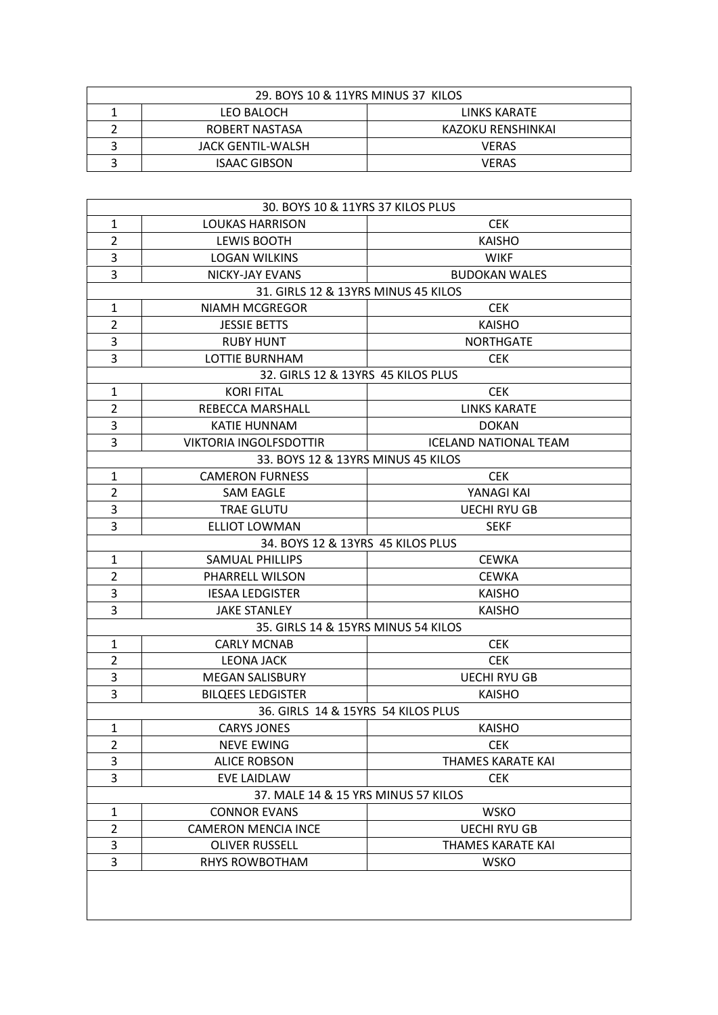| 29. BOYS 10 & 11YRS MINUS 37 KILOS |                     |                   |
|------------------------------------|---------------------|-------------------|
|                                    | <b>LEO BALOCH</b>   | LINKS KARATE      |
|                                    | ROBERT NASTASA      | KAZOKU RENSHINKAI |
|                                    | JACK GENTIL-WALSH   | <b>VERAS</b>      |
|                                    | <b>ISAAC GIBSON</b> | VERAS             |

| 30. BOYS 10 & 11YRS 37 KILOS PLUS |                                     |                              |  |
|-----------------------------------|-------------------------------------|------------------------------|--|
| $\mathbf{1}$                      | <b>LOUKAS HARRISON</b>              | <b>CEK</b>                   |  |
| $\overline{2}$                    | <b>LEWIS BOOTH</b>                  | <b>KAISHO</b>                |  |
| 3                                 | <b>LOGAN WILKINS</b>                | <b>WIKF</b>                  |  |
| 3                                 | <b>NICKY-JAY EVANS</b>              | <b>BUDOKAN WALES</b>         |  |
|                                   | 31. GIRLS 12 & 13YRS MINUS 45 KILOS |                              |  |
| $\mathbf{1}$                      | <b>NIAMH MCGREGOR</b>               | <b>CEK</b>                   |  |
| $\overline{2}$                    | <b>JESSIE BETTS</b>                 | <b>KAISHO</b>                |  |
| 3                                 | <b>RUBY HUNT</b>                    | <b>NORTHGATE</b>             |  |
| 3                                 | <b>LOTTIE BURNHAM</b>               | <b>CEK</b>                   |  |
|                                   | 32. GIRLS 12 & 13YRS 45 KILOS PLUS  |                              |  |
| $\mathbf{1}$                      | <b>KORI FITAL</b>                   | <b>CEK</b>                   |  |
| $\overline{2}$                    | REBECCA MARSHALL                    | <b>LINKS KARATE</b>          |  |
| 3                                 | <b>KATIE HUNNAM</b>                 | <b>DOKAN</b>                 |  |
| 3                                 | <b>VIKTORIA INGOLFSDOTTIR</b>       | <b>ICELAND NATIONAL TEAM</b> |  |
|                                   | 33. BOYS 12 & 13YRS MINUS 45 KILOS  |                              |  |
| 1                                 | <b>CAMERON FURNESS</b>              | <b>CEK</b>                   |  |
| $\overline{2}$                    | <b>SAM EAGLE</b>                    | YANAGI KAI                   |  |
| 3                                 | <b>TRAE GLUTU</b>                   | <b>UECHI RYU GB</b>          |  |
| 3                                 | <b>ELLIOT LOWMAN</b>                | <b>SEKF</b>                  |  |
|                                   | 34. BOYS 12 & 13YRS 45 KILOS PLUS   |                              |  |
| $\mathbf{1}$                      | <b>SAMUAL PHILLIPS</b>              | <b>CEWKA</b>                 |  |
| $\overline{2}$                    | PHARRELL WILSON                     | <b>CEWKA</b>                 |  |
| 3                                 | <b>IESAA LEDGISTER</b>              | <b>KAISHO</b>                |  |
| 3                                 | <b>JAKE STANLEY</b>                 | <b>KAISHO</b>                |  |
|                                   | 35. GIRLS 14 & 15YRS MINUS 54 KILOS |                              |  |
| $\mathbf{1}$                      | <b>CARLY MCNAB</b>                  | <b>CEK</b>                   |  |
| $\overline{2}$                    | <b>LEONA JACK</b>                   | <b>CEK</b>                   |  |
| 3                                 | <b>MEGAN SALISBURY</b>              | <b>UECHI RYU GB</b>          |  |
| 3                                 | <b>BILQEES LEDGISTER</b>            | <b>KAISHO</b>                |  |
|                                   | 36. GIRLS 14 & 15YRS 54 KILOS PLUS  |                              |  |
| $\mathbf{1}$                      | <b>CARYS JONES</b>                  | <b>KAISHO</b>                |  |
| 2                                 | NEVE EWING                          | <b>CEK</b>                   |  |
| 3                                 | <b>ALICE ROBSON</b>                 | THAMES KARATE KAI            |  |
| 3                                 | <b>EVE LAIDLAW</b>                  | <b>CEK</b>                   |  |
|                                   | 37. MALE 14 & 15 YRS MINUS 57 KILOS |                              |  |
| $\mathbf{1}$                      | <b>CONNOR EVANS</b>                 | <b>WSKO</b>                  |  |
| $\overline{2}$                    | <b>CAMERON MENCIA INCE</b>          | <b>UECHI RYU GB</b>          |  |
| 3                                 | <b>OLIVER RUSSELL</b>               | THAMES KARATE KAI            |  |
| 3                                 | <b>RHYS ROWBOTHAM</b>               | <b>WSKO</b>                  |  |
|                                   |                                     |                              |  |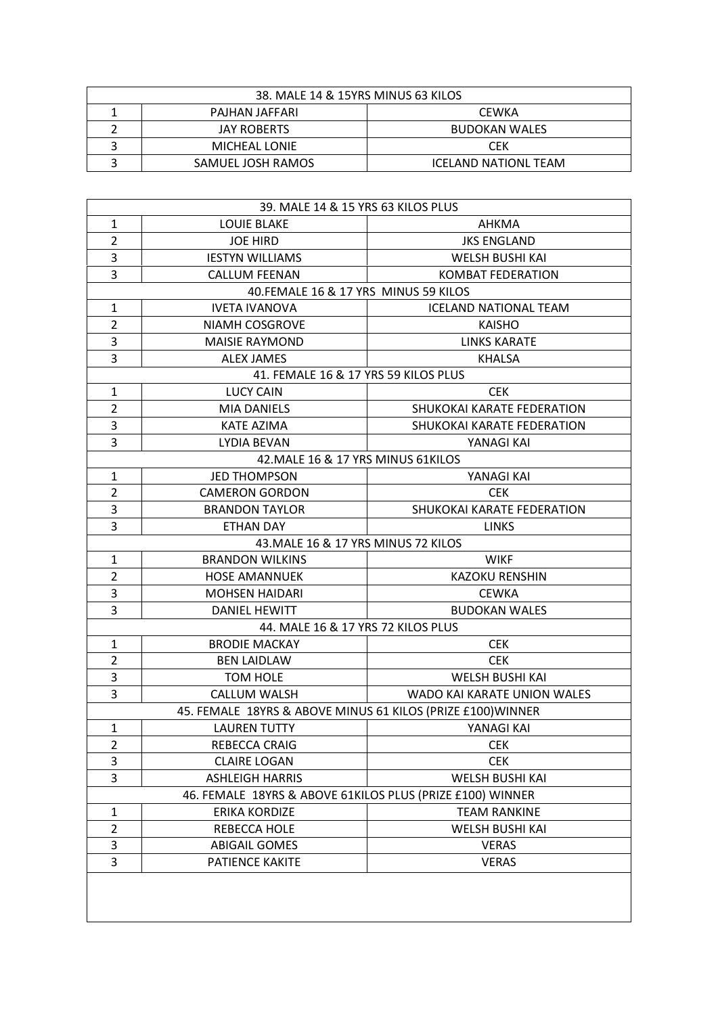| 38. MALE 14 & 15YRS MINUS 63 KILOS |                   |                             |
|------------------------------------|-------------------|-----------------------------|
|                                    | PAJHAN JAFFARI    | CEWKA                       |
|                                    | JAY ROBERTS       | <b>BUDOKAN WALES</b>        |
|                                    | MICHEAL LONIE     | CEK                         |
|                                    | SAMUEL JOSH RAMOS | <b>ICELAND NATIONL TEAM</b> |

| 39. MALE 14 & 15 YRS 63 KILOS PLUS                        |                                                             |                              |  |
|-----------------------------------------------------------|-------------------------------------------------------------|------------------------------|--|
| $\mathbf{1}$                                              | <b>LOUIE BLAKE</b>                                          | AHKMA                        |  |
| $\overline{2}$                                            | <b>JOE HIRD</b>                                             | <b>JKS ENGLAND</b>           |  |
| 3                                                         | <b>IESTYN WILLIAMS</b>                                      | <b>WELSH BUSHI KAI</b>       |  |
| 3                                                         | <b>CALLUM FEENAN</b>                                        | <b>KOMBAT FEDERATION</b>     |  |
|                                                           | 40.FEMALE 16 & 17 YRS MINUS 59 KILOS                        |                              |  |
| $\mathbf{1}$                                              | <b>IVETA IVANOVA</b>                                        | <b>ICELAND NATIONAL TEAM</b> |  |
| $\overline{2}$                                            | <b>NIAMH COSGROVE</b>                                       | <b>KAISHO</b>                |  |
| 3                                                         | <b>MAISIE RAYMOND</b>                                       | <b>LINKS KARATE</b>          |  |
| 3                                                         | <b>ALEX JAMES</b>                                           | <b>KHALSA</b>                |  |
|                                                           | 41. FEMALE 16 & 17 YRS 59 KILOS PLUS                        |                              |  |
| $\mathbf{1}$                                              | <b>LUCY CAIN</b>                                            | <b>CEK</b>                   |  |
| $\overline{2}$                                            | <b>MIA DANIELS</b>                                          | SHUKOKAI KARATE FEDERATION   |  |
| 3                                                         | <b>KATE AZIMA</b>                                           | SHUKOKAI KARATE FEDERATION   |  |
| 3                                                         | <b>LYDIA BEVAN</b>                                          | YANAGI KAI                   |  |
|                                                           | 42. MALE 16 & 17 YRS MINUS 61KILOS                          |                              |  |
| 1                                                         | <b>JED THOMPSON</b>                                         | YANAGI KAI                   |  |
| $\overline{2}$                                            | <b>CAMERON GORDON</b>                                       | <b>CEK</b>                   |  |
| 3                                                         | <b>BRANDON TAYLOR</b>                                       | SHUKOKAI KARATE FEDERATION   |  |
| 3                                                         | <b>ETHAN DAY</b>                                            | <b>LINKS</b>                 |  |
|                                                           | 43. MALE 16 & 17 YRS MINUS 72 KILOS                         |                              |  |
| $\mathbf{1}$                                              | <b>BRANDON WILKINS</b>                                      | <b>WIKF</b>                  |  |
| $\overline{2}$                                            | <b>HOSE AMANNUEK</b>                                        | <b>KAZOKU RENSHIN</b>        |  |
| 3                                                         | <b>MOHSEN HAIDARI</b>                                       | <b>CEWKA</b>                 |  |
| 3                                                         | <b>DANIEL HEWITT</b>                                        | <b>BUDOKAN WALES</b>         |  |
|                                                           | 44. MALE 16 & 17 YRS 72 KILOS PLUS                          |                              |  |
| $\mathbf{1}$                                              | <b>BRODIE MACKAY</b>                                        | <b>CEK</b>                   |  |
| $\overline{2}$                                            | <b>BEN LAIDLAW</b>                                          | <b>CEK</b>                   |  |
| 3                                                         | <b>TOM HOLE</b>                                             | <b>WELSH BUSHI KAI</b>       |  |
| 3                                                         | CALLUM WALSH                                                | WADO KAI KARATE UNION WALES  |  |
|                                                           | 45. FEMALE 18YRS & ABOVE MINUS 61 KILOS (PRIZE £100) WINNER |                              |  |
| $\mathbf{1}$                                              | <b>LAUREN TUTTY</b>                                         | YANAGI KAI                   |  |
| 2                                                         | REBECCA CRAIG                                               | <b>CEK</b>                   |  |
| 3                                                         | <b>CLAIRE LOGAN</b>                                         | <b>CEK</b>                   |  |
| 3                                                         | <b>ASHLEIGH HARRIS</b>                                      | <b>WELSH BUSHI KAI</b>       |  |
| 46. FEMALE 18YRS & ABOVE 61KILOS PLUS (PRIZE £100) WINNER |                                                             |                              |  |
| 1                                                         | ERIKA KORDIZE                                               | <b>TEAM RANKINE</b>          |  |
| $\overline{2}$                                            | REBECCA HOLE                                                | WELSH BUSHI KAI              |  |
| 3                                                         | <b>ABIGAIL GOMES</b>                                        | <b>VERAS</b>                 |  |
| 3                                                         | PATIENCE KAKITE                                             | <b>VERAS</b>                 |  |
|                                                           |                                                             |                              |  |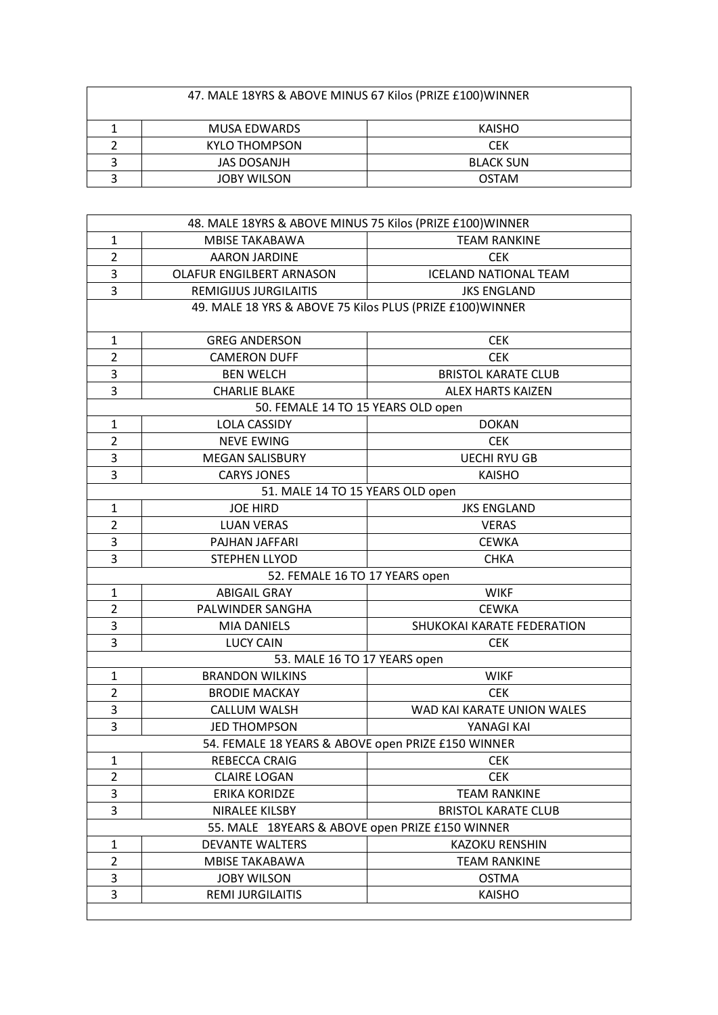| 47. MALE 18YRS & ABOVE MINUS 67 Kilos (PRIZE £100) WINNER |                    |                  |  |
|-----------------------------------------------------------|--------------------|------------------|--|
| MUSA EDWARDS<br>KAISHO                                    |                    |                  |  |
|                                                           | KYLO THOMPSON      | <b>CEK</b>       |  |
|                                                           | JAS DOSANJH        | <b>BLACK SUN</b> |  |
|                                                           | <b>JOBY WILSON</b> | <b>OSTAM</b>     |  |

| 48. MALE 18YRS & ABOVE MINUS 75 Kilos (PRIZE £100) WINNER |                                                           |                              |  |
|-----------------------------------------------------------|-----------------------------------------------------------|------------------------------|--|
| $\mathbf{1}$                                              | <b>MBISE TAKABAWA</b>                                     | <b>TEAM RANKINE</b>          |  |
| $\overline{2}$                                            | <b>AARON JARDINE</b>                                      | <b>CEK</b>                   |  |
| 3                                                         | OLAFUR ENGILBERT ARNASON                                  | <b>ICELAND NATIONAL TEAM</b> |  |
| $\overline{3}$                                            | <b>REMIGIJUS JURGILAITIS</b>                              | <b>JKS ENGLAND</b>           |  |
|                                                           | 49. MALE 18 YRS & ABOVE 75 Kilos PLUS (PRIZE £100) WINNER |                              |  |
|                                                           |                                                           |                              |  |
| $\mathbf{1}$                                              | <b>GREG ANDERSON</b>                                      | <b>CEK</b>                   |  |
| $\overline{2}$                                            | <b>CAMERON DUFF</b>                                       | <b>CEK</b>                   |  |
| 3                                                         | <b>BEN WELCH</b>                                          | <b>BRISTOL KARATE CLUB</b>   |  |
| 3                                                         | <b>CHARLIE BLAKE</b>                                      | <b>ALEX HARTS KAIZEN</b>     |  |
|                                                           | 50. FEMALE 14 TO 15 YEARS OLD open                        |                              |  |
| $\mathbf{1}$                                              | <b>LOLA CASSIDY</b>                                       | <b>DOKAN</b>                 |  |
| $\overline{2}$                                            | <b>NEVE EWING</b>                                         | <b>CEK</b>                   |  |
| 3                                                         | <b>MEGAN SALISBURY</b>                                    | <b>UECHI RYU GB</b>          |  |
| 3                                                         | <b>CARYS JONES</b>                                        | <b>KAISHO</b>                |  |
|                                                           | 51. MALE 14 TO 15 YEARS OLD open                          |                              |  |
| $\mathbf{1}$                                              | <b>JOE HIRD</b>                                           | <b>JKS ENGLAND</b>           |  |
| $\overline{2}$                                            | <b>LUAN VERAS</b>                                         | <b>VERAS</b>                 |  |
| 3                                                         | PAJHAN JAFFARI                                            | <b>CEWKA</b>                 |  |
| 3                                                         | STEPHEN LLYOD                                             | <b>CHKA</b>                  |  |
|                                                           | 52. FEMALE 16 TO 17 YEARS open                            |                              |  |
| $\mathbf{1}$                                              | <b>ABIGAIL GRAY</b>                                       | <b>WIKF</b>                  |  |
| $\overline{2}$                                            | PALWINDER SANGHA                                          | <b>CEWKA</b>                 |  |
| 3                                                         | <b>MIA DANIELS</b>                                        | SHUKOKAI KARATE FEDERATION   |  |
| 3                                                         | <b>LUCY CAIN</b>                                          | <b>CEK</b>                   |  |
|                                                           | 53. MALE 16 TO 17 YEARS open                              |                              |  |
| $\mathbf{1}$                                              | <b>BRANDON WILKINS</b>                                    | <b>WIKF</b>                  |  |
| $\overline{2}$                                            | <b>BRODIE MACKAY</b>                                      | <b>CEK</b>                   |  |
| 3                                                         | <b>CALLUM WALSH</b>                                       | WAD KAI KARATE UNION WALES   |  |
| 3                                                         | <b>JED THOMPSON</b>                                       | YANAGI KAI                   |  |
| 54. FEMALE 18 YEARS & ABOVE open PRIZE £150 WINNER        |                                                           |                              |  |
| 1                                                         | REBECCA CRAIG                                             | <b>CEK</b>                   |  |
| $\overline{2}$                                            | <b>CLAIRE LOGAN</b>                                       | <b>CEK</b>                   |  |
| 3                                                         | <b>ERIKA KORIDZE</b>                                      | <b>TEAM RANKINE</b>          |  |
| 3                                                         | NIRALEE KILSBY                                            | <b>BRISTOL KARATE CLUB</b>   |  |
|                                                           | 55. MALE 18YEARS & ABOVE open PRIZE £150 WINNER           |                              |  |
| 1                                                         | <b>DEVANTE WALTERS</b>                                    | <b>KAZOKU RENSHIN</b>        |  |
| $\overline{2}$                                            | MBISE TAKABAWA                                            | <b>TEAM RANKINE</b>          |  |
| 3                                                         | <b>JOBY WILSON</b>                                        | <b>OSTMA</b>                 |  |
| 3                                                         | <b>REMI JURGILAITIS</b>                                   | <b>KAISHO</b>                |  |
|                                                           |                                                           |                              |  |
|                                                           |                                                           |                              |  |